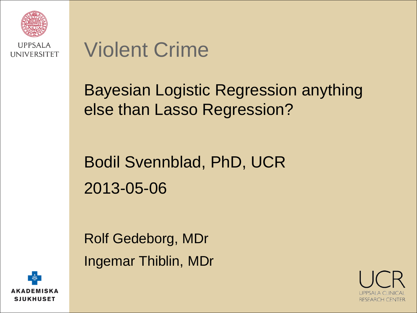

### Violent Crime

#### Bayesian Logistic Regression anything else than Lasso Regression?

### Bodil Svennblad, PhD, UCR 2013-05-06

Rolf Gedeborg, MDr Ingemar Thiblin, MDr



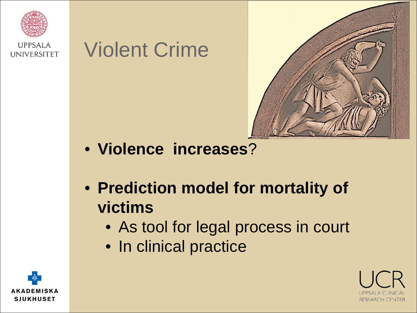





- **Violence increases**?
- **Prediction model for mortality of victims**
	- As tool for legal process in court
	- In clinical practice



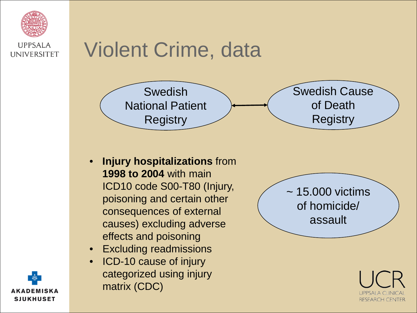

### Violent Crime, data



- **Injury hospitalizations** from **1998 to 2004** with main ICD10 code S00-T80 (Injury, poisoning and certain other consequences of external causes) excluding adverse effects and poisoning
- Excluding readmissions
- ICD-10 cause of injury categorized using injury matrix (CDC)





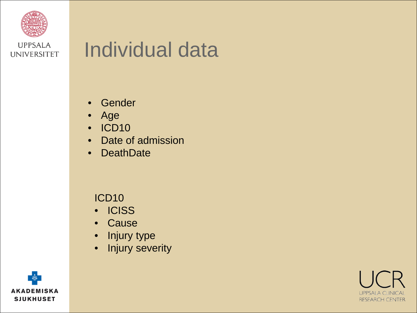

### Individual data

- Gender
- Age
- ICD10
- Date of admission
- DeathDate

#### ICD10

- ICISS
- Cause
- Injury type
- Injury severity



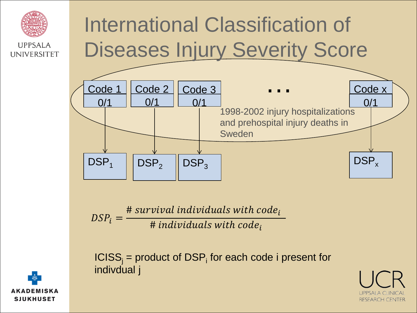

## International Classification of Diseases Injury Severity Score



 $DSP_i =$ # survival individuals with code<sub>i</sub> # individuals with  $code_i$ 

 $ICISS<sub>i</sub>$  = product of DSP<sub>i</sub> for each code i present for indivdual j



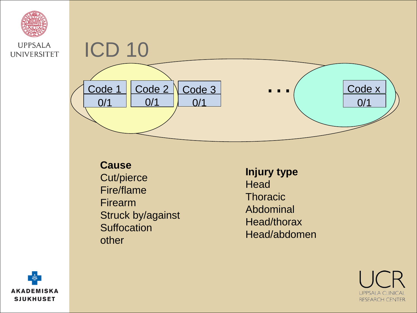



**Cause**

Cut/pierce Fire/flame Firearm Struck by/against **Suffocation** other

**Injury type Head Thoracic** Abdominal Head/thorax Head/abdomen



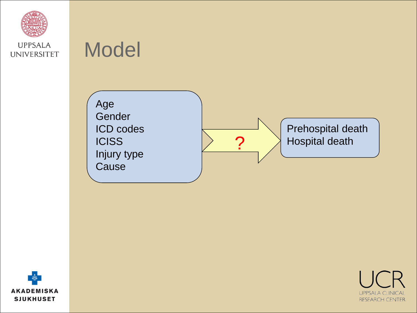

### Model





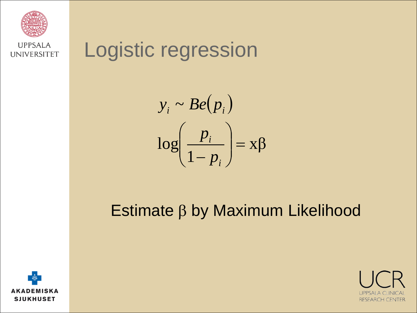

### Logistic regression

$$
y_i \sim Be(p_i)
$$

$$
\log\left(\frac{p_i}{1-p_i}\right) = x\beta
$$

#### Estimate β by Maximum Likelihood



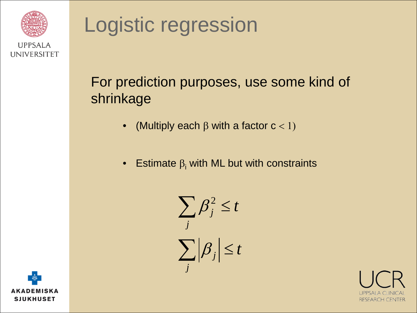



#### For prediction purposes, use some kind of shrinkage

- (Multiply each  $\beta$  with a factor  $c < 1$ )
- Estimate  $\beta_i$  with ML but with constraints





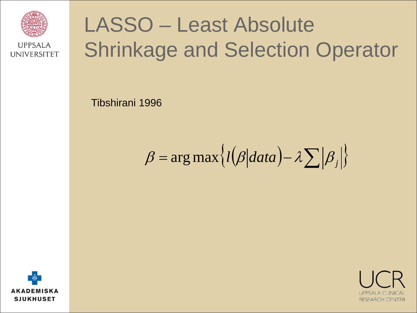

## LASSO – Least Absolute Shrinkage and Selection Operator

Tibshirani 1996

 $\beta = \arg \max \{l(\beta|data) - \lambda \sum |\beta_i|\}$ 



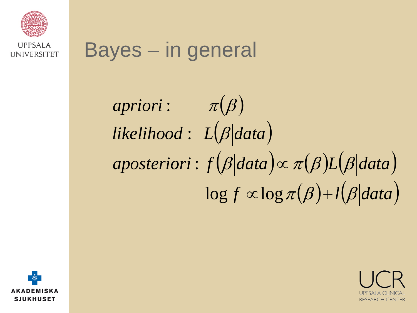

### Bayes – in general

# $a priori: \qquad \pi(\beta)$ likelihood : L(β|data)  $a posteriori: f(\beta|data) \propto \pi(\beta)L(\beta|data)$  $\log f \propto \log \pi(\beta) + l(\beta|data)$



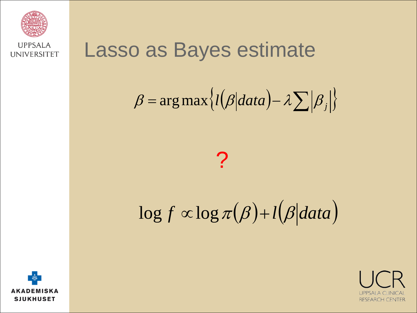

### Lasso as Bayes estimate

$$
\beta = \arg \max \{ l(\beta | data) - \lambda \sum |\beta_j| \}
$$

### $\boldsymbol{P}$

## $\log f \propto \log \pi(\beta) + l(\beta|data)$



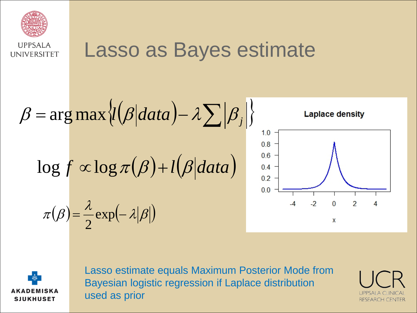

### Lasso as Bayes estimate

$$
\beta = \arg \max_{\mathcal{U}} \left\{ l(\beta | data) - \lambda \sum |\beta_j| \right\}
$$
\n
$$
\log f \propto \log \pi(\beta) + l(\beta | data)
$$
\n
$$
\pi(\beta) = \frac{\lambda}{2} \exp(-\lambda |\beta|)
$$
\n
$$
\pi(\beta) = \frac{\lambda}{2} \exp(-\lambda |\beta|)
$$



Lasso estimate equals Maximum Posterior Mode from Bayesian logistic regression if Laplace distribution used as prior

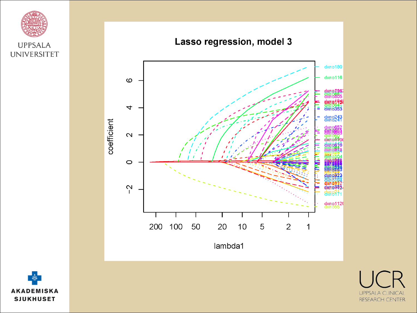



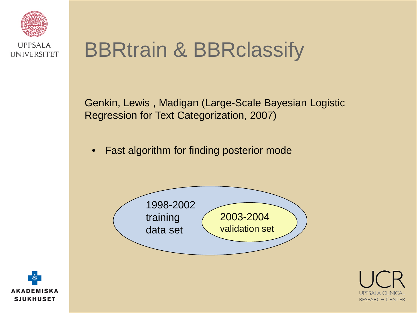

### BBRtrain & BBRclassify

Genkin, Lewis , Madigan (Large-Scale Bayesian Logistic Regression for Text Categorization, 2007)

• Fast algorithm for finding posterior mode





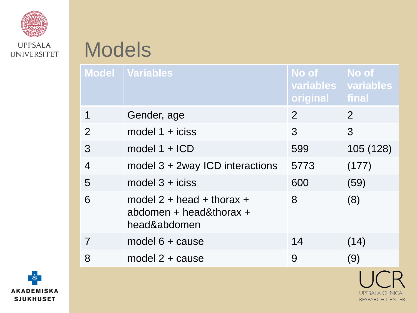

### Models

|                | Model   Variables                                                      | No of<br>variables<br>original | No of<br>variables<br>final |
|----------------|------------------------------------------------------------------------|--------------------------------|-----------------------------|
|                | Gender, age                                                            | $\mathcal{P}$                  | 2                           |
| $\overline{2}$ | model $1 + i$ ciss                                                     | 3                              | 3                           |
| 3              | model $1 + ICD$                                                        | 599                            | 105 (128)                   |
| 4              | model $3 + 2$ way ICD interactions                                     | 5773                           | (177)                       |
| 5              | model $3 + i$ ciss                                                     | 600                            | (59)                        |
| 6              | model $2 + head + thorax +$<br>abdomen + head&thorax +<br>head&abdomen | 8                              | (8)                         |
| 7              | model $6 + \text{cause}$                                               | 14                             | (14)                        |
| 8              | model $2 + \text{cause}$                                               | 9                              | (9)                         |



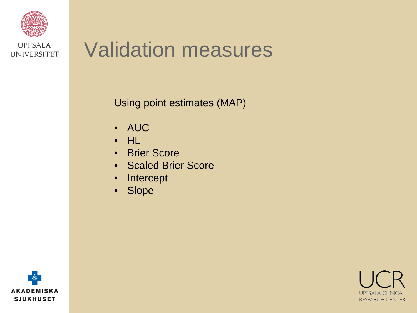

### Validation measures

Using point estimates (MAP)

- AUC
- HL
- Brier Score
- Scaled Brier Score
- Intercept
- Slope



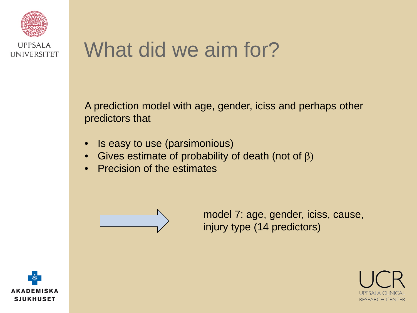

### What did we aim for?

A prediction model with age, gender, iciss and perhaps other predictors that

- Is easy to use (parsimonious)
- Gives estimate of probability of death (not of  $\beta$ )
- Precision of the estimates



model 7: age, gender, iciss, cause, injury type (14 predictors)



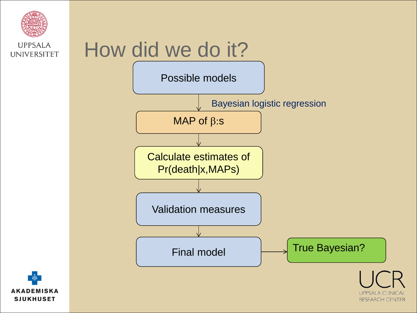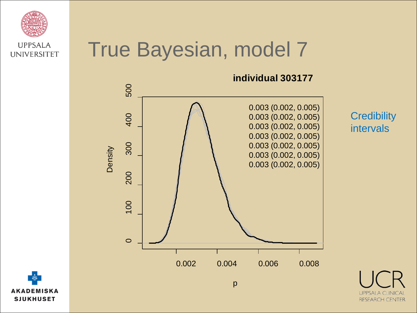

### True Bayesian, model 7



**Credibility** intervals

**UPPSALA** 

**RESEARCH CENTER**